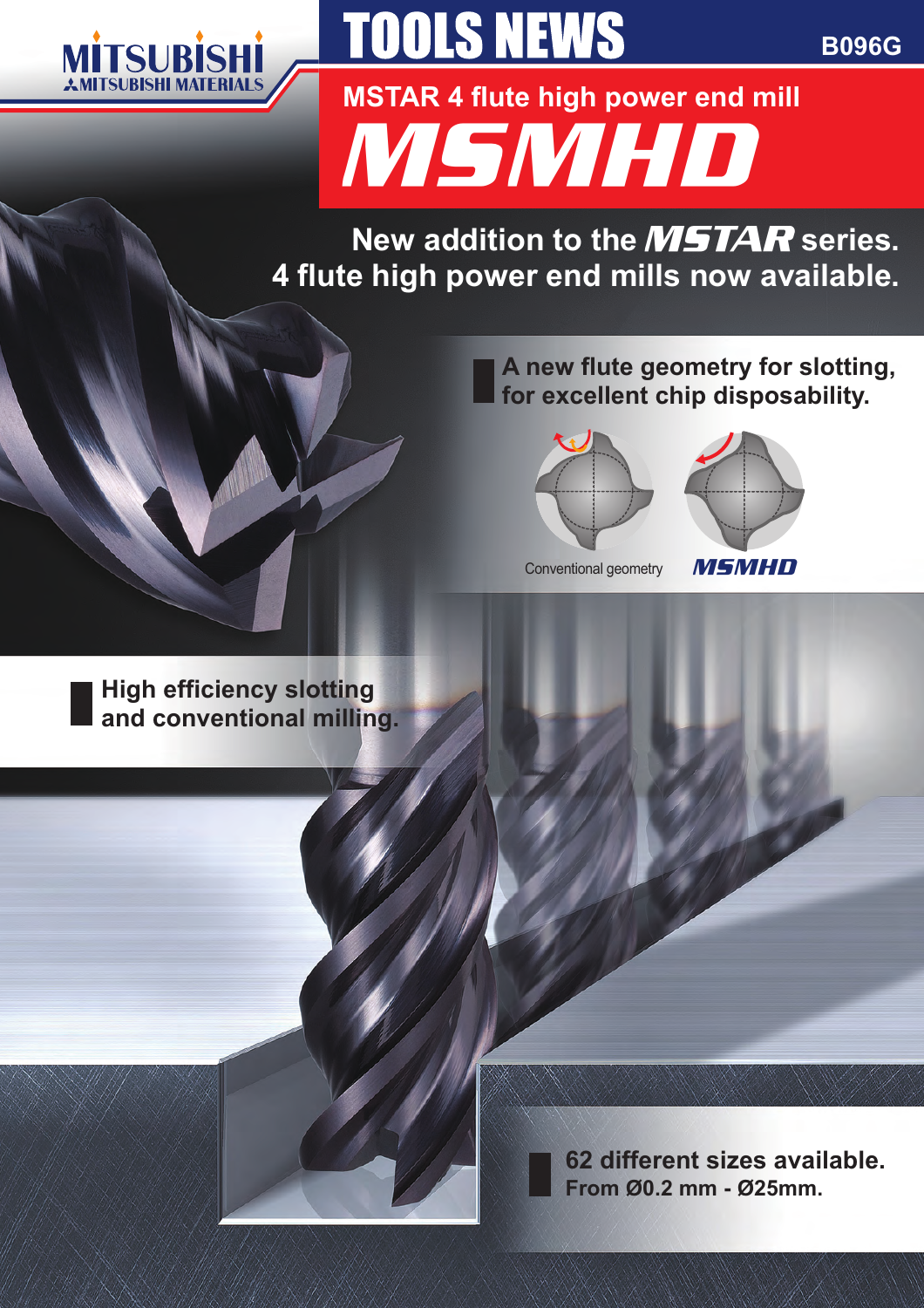

# **TOOLS NEWS**

**B096G**

MSMHD **MSTAR 4 flute high power end mill**

New addition to the **MSTAR** series. **4 flute high power end mills now available.**

> **A new flute geometry for slotting, for excellent chip disposability.**



Conventional geometry



MSMHD

**High efficiency slotting and conventional milling.**

> **62 different sizes available. From Ø0.2 mm - Ø25mm.**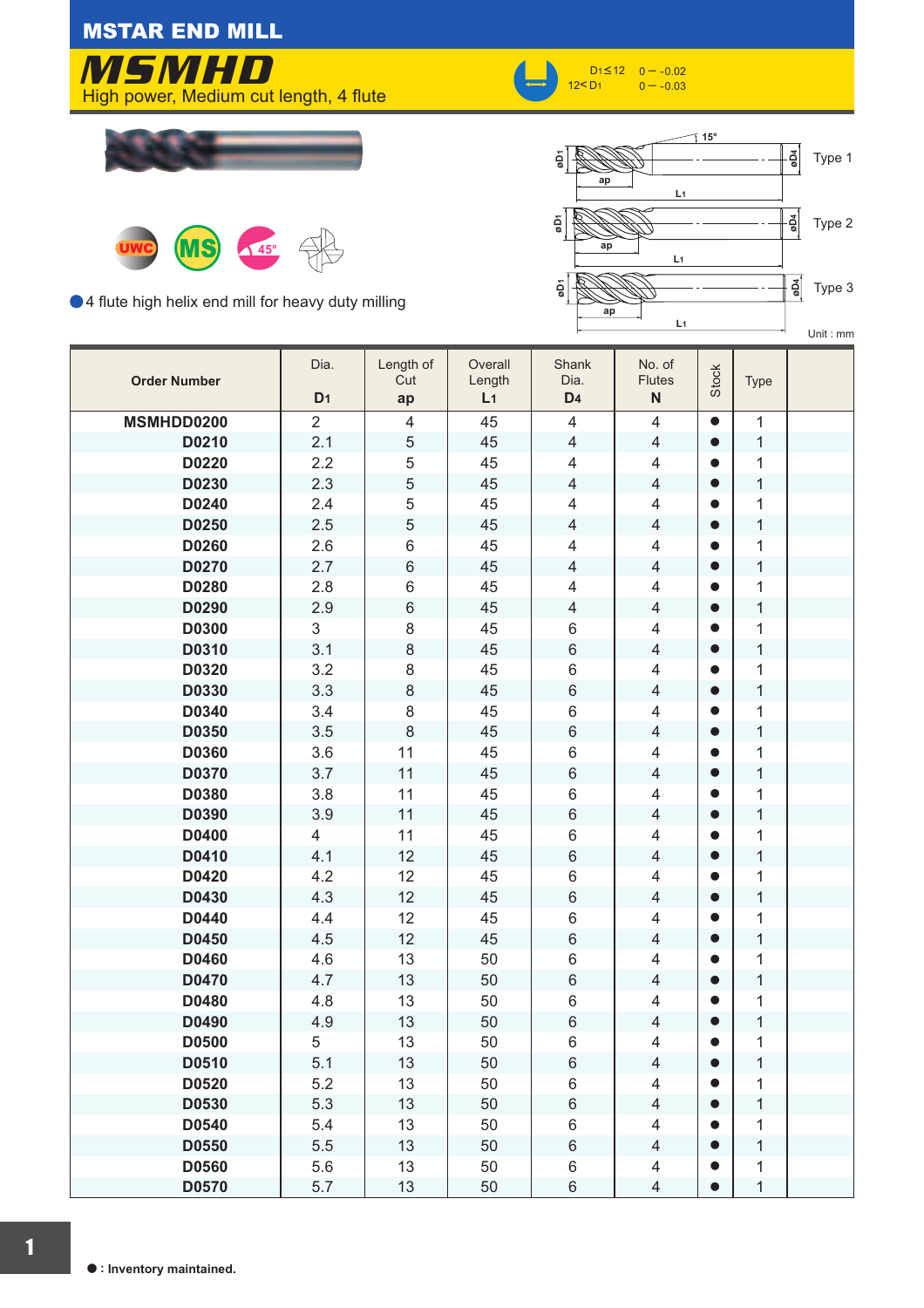MSTAR END MILL



 $D_1$ ≤12<br>12≤ D4





● 4 flute high helix end mill for heavy duty milling



| <b>Order Number</b> | Dia.<br>D <sub>1</sub> | Length of<br>Cut<br>ap  | Overall<br>Length<br>L <sub>1</sub> | Shank<br>Dia.<br>D <sub>4</sub> | No. of<br><b>Flutes</b><br>$\mathsf{N}$ | Stock     | <b>Type</b>  |  |
|---------------------|------------------------|-------------------------|-------------------------------------|---------------------------------|-----------------------------------------|-----------|--------------|--|
| MSMHDD0200          | $\overline{2}$         | $\overline{\mathbf{4}}$ | 45                                  | $\overline{4}$                  | $\overline{4}$                          | $\bullet$ | $\mathbf{1}$ |  |
| D0210               | 2.1                    | 5                       | 45                                  | $\overline{4}$                  | $\overline{4}$                          | $\bullet$ | $\mathbf{1}$ |  |
| D0220               | 2.2                    | 5                       | 45                                  | $\overline{4}$                  | $\overline{4}$                          | $\bullet$ | $\mathbf{1}$ |  |
| D0230               | 2.3                    | 5                       | 45                                  | $\overline{4}$                  | $\overline{4}$                          | $\bullet$ | $\mathbf{1}$ |  |
| D0240               | 2.4                    | 5                       | 45                                  | $\overline{4}$                  | $\overline{4}$                          | $\bullet$ | $\mathbf{1}$ |  |
| D0250               | 2.5                    | 5                       | 45                                  | $\overline{4}$                  | $\overline{4}$                          | $\bullet$ | $\mathbf{1}$ |  |
| D0260               | 2.6                    | $\,6$                   | 45                                  | $\overline{4}$                  | $\overline{4}$                          | $\bullet$ | $\mathbf{1}$ |  |
| D0270               | 2.7                    | $\,6\,$                 | 45                                  | $\overline{4}$                  | $\overline{4}$                          | $\bullet$ | $\mathbf{1}$ |  |
| D0280               | 2.8                    | $\,6$                   | 45                                  | $\overline{4}$                  | $\overline{4}$                          | $\bullet$ | $\mathbf{1}$ |  |
| D0290               | 2.9                    | $\,6\,$                 | 45                                  | $\overline{4}$                  | $\overline{4}$                          | $\bullet$ | $\mathbf{1}$ |  |
| D0300               | 3                      | $\,8\,$                 | 45                                  | $6\,$                           | $\overline{4}$                          | $\bullet$ | $\mathbf{1}$ |  |
| D0310               | 3.1                    | $\,8\,$                 | 45                                  | $\,6\,$                         | $\overline{4}$                          | $\bullet$ | $\mathbf{1}$ |  |
| D0320               | 3.2                    | $\,8\,$                 | 45                                  | $\,6$                           | $\overline{4}$                          | $\bullet$ | $\mathbf{1}$ |  |
| D0330               | 3.3                    | $\,8\,$                 | 45                                  | $\,6\,$                         | $\overline{4}$                          | $\bullet$ | $\mathbf{1}$ |  |
| D0340               | 3.4                    | 8                       | 45                                  | $\,6\,$                         | $\overline{4}$                          | $\bullet$ | $\mathbf{1}$ |  |
| D0350               | 3.5                    | $\,8\,$                 | 45                                  | $\,6\,$                         | $\overline{4}$                          | $\bullet$ | $\mathbf{1}$ |  |
| D0360               | 3.6                    | 11                      | 45                                  | $\,6\,$                         | $\overline{4}$                          | $\bullet$ | $\mathbf{1}$ |  |
| D0370               | 3.7                    | 11                      | 45                                  | $\,6\,$                         | $\overline{4}$                          | $\bullet$ | $\mathbf{1}$ |  |
| D0380               | 3.8                    | 11                      | 45                                  | $\,6$                           | $\overline{4}$                          | $\bullet$ | $\mathbf{1}$ |  |
| D0390               | 3.9                    | 11                      | 45                                  | $\,6\,$                         | $\overline{4}$                          | $\bullet$ | $\mathbf{1}$ |  |
| D0400               | 4                      | 11                      | 45                                  | $\,6$                           | $\overline{4}$                          | $\bullet$ | $\mathbf{1}$ |  |
| D0410               | 4.1                    | 12                      | 45                                  | $\,6\,$                         | $\overline{4}$                          | $\bullet$ | $\mathbf{1}$ |  |
| D0420               | 4.2                    | 12                      | 45                                  | $\,6$                           | $\overline{4}$                          | $\bullet$ | $\mathbf{1}$ |  |
| D0430               | 4.3                    | 12                      | 45                                  | $\,6\,$                         | $\overline{4}$                          | $\bullet$ | $\mathbf{1}$ |  |
| D0440               | 4.4                    | 12                      | 45                                  | $\,6\,$                         | $\overline{4}$                          | $\bullet$ | $\mathbf{1}$ |  |
| D0450               | 4.5                    | 12                      | 45                                  | $\,6\,$                         | $\overline{4}$                          | $\bullet$ | $\mathbf{1}$ |  |
| D0460               | 4.6                    | 13                      | 50                                  | $\,6\,$                         | $\overline{4}$                          | $\bullet$ | $\mathbf{1}$ |  |
| D0470               | 4.7                    | 13                      | 50                                  | $\,6\,$                         | $\overline{4}$                          | $\bullet$ | $\mathbf{1}$ |  |
| D0480               | 4.8                    | 13                      | 50                                  | $6\,$                           | $\overline{4}$                          | $\bullet$ | $\mathbf{1}$ |  |
| D0490               | 4.9                    | 13                      | 50                                  | $\,6\,$                         | $\overline{4}$                          | $\bullet$ | $\mathbf{1}$ |  |
| D0500               | 5                      | 13                      | 50                                  | 6                               | $\overline{4}$                          | $\bullet$ | 1            |  |
| D0510               | 5.1                    | 13                      | 50                                  | $\,6\,$                         | $\overline{4}$                          | $\bullet$ | $\mathbf{1}$ |  |
| D0520               | 5.2                    | 13                      | 50                                  | 6                               | $\overline{4}$                          | $\bullet$ | $\mathbf{1}$ |  |
| D0530               | 5.3                    | 13                      | 50                                  | $\,6$                           | $\overline{4}$                          | $\bullet$ | $\mathbf{1}$ |  |
| D0540               | 5.4                    | 13                      | 50                                  | $\,6$                           | $\overline{4}$                          | $\bullet$ | $\mathbf{1}$ |  |
| D0550               | 5.5                    | 13                      | 50                                  | $\,6\,$                         | $\overline{4}$                          | $\bullet$ | $\mathbf{1}$ |  |
| D0560               | 5.6                    | 13                      | 50                                  | $\,6$                           | $\overline{4}$                          | $\bullet$ | 1            |  |
| D0570               | 5.7                    | 13                      | 50                                  | $\,6$                           | $\overline{4}$                          | $\bullet$ | $\mathbf{1}$ |  |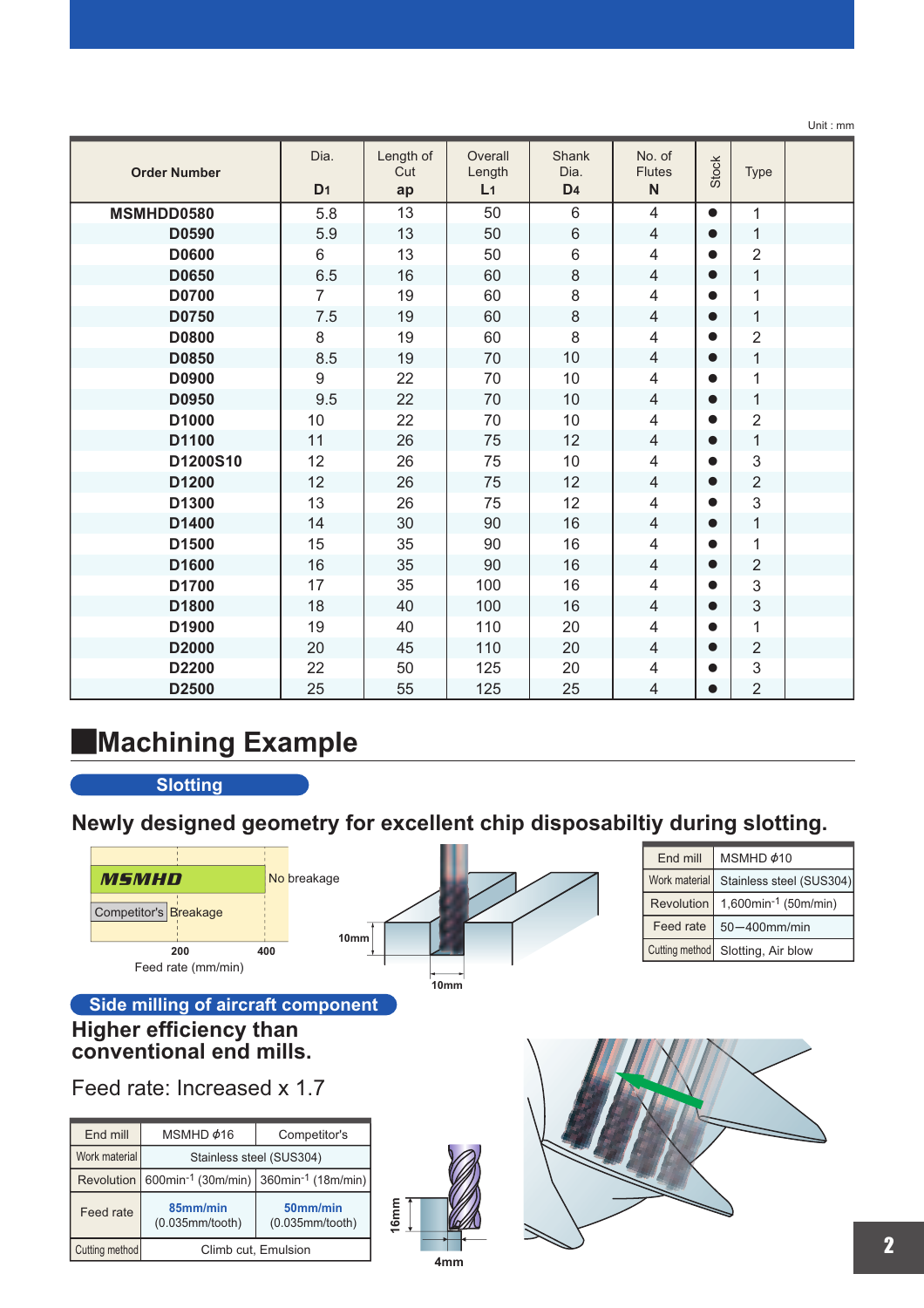|                     |                        |                        |                                     |                                 |                                         |              |                | Unit: mm |
|---------------------|------------------------|------------------------|-------------------------------------|---------------------------------|-----------------------------------------|--------------|----------------|----------|
| <b>Order Number</b> | Dia.<br>D <sub>1</sub> | Length of<br>Cut<br>ap | Overall<br>Length<br>L <sub>1</sub> | Shank<br>Dia.<br>D <sub>4</sub> | No. of<br><b>Flutes</b><br>$\mathsf{N}$ | <b>Stock</b> | Type           |          |
| MSMHDD0580          | 5.8                    | 13                     | 50                                  | $6\phantom{1}$                  | $\overline{4}$                          | $\bullet$    | $\mathbf{1}$   |          |
| D0590               | 5.9                    | 13                     | 50                                  | 6                               | $\overline{4}$                          | $\bullet$    | $\mathbf{1}$   |          |
| <b>D0600</b>        | 6                      | 13                     | 50                                  | $\,6$                           | $\overline{4}$                          | $\bullet$    | $\overline{2}$ |          |
| D0650               | 6.5                    | 16                     | 60                                  | 8                               | $\overline{4}$                          | $\bullet$    | $\mathbf{1}$   |          |
| <b>D0700</b>        | $\overline{7}$         | 19                     | 60                                  | 8                               | 4                                       | $\bullet$    | 1              |          |
| D0750               | 7.5                    | 19                     | 60                                  | 8                               | $\overline{4}$                          | $\bullet$    | $\mathbf{1}$   |          |
| <b>D0800</b>        | 8                      | 19                     | 60                                  | 8                               | 4                                       |              | $\overline{2}$ |          |
| <b>D0850</b>        | 8.5                    | 19                     | 70                                  | 10                              | $\overline{4}$                          | $\bullet$    | $\mathbf 1$    |          |
| D0900               | $9\,$                  | 22                     | 70                                  | 10                              | $\overline{4}$                          |              | 1              |          |
| D0950               | 9.5                    | 22                     | 70                                  | 10                              | $\overline{4}$                          | $\bullet$    | $\mathbf{1}$   |          |
| D1000               | 10                     | 22                     | 70                                  | 10                              | $\overline{4}$                          | $\bullet$    | $\overline{2}$ |          |
| D1100               | 11                     | 26                     | 75                                  | 12                              | $\overline{4}$                          | $\bullet$    | $\mathbf{1}$   |          |
| D1200S10            | 12                     | 26                     | 75                                  | 10                              | $\overline{4}$                          | ●            | 3              |          |
| D1200               | 12                     | 26                     | 75                                  | 12                              | $\overline{4}$                          | $\bullet$    | $\overline{2}$ |          |
| D1300               | 13                     | 26                     | 75                                  | 12                              | 4                                       |              | 3              |          |
| D1400               | 14                     | 30                     | 90                                  | 16                              | $\overline{4}$                          |              | $\mathbf{1}$   |          |
| D1500               | 15                     | 35                     | 90                                  | 16                              | 4                                       | $\bullet$    | 1              |          |
| D1600               | 16                     | 35                     | 90                                  | 16                              | $\overline{4}$                          | $\bullet$    | $\overline{2}$ |          |
| D1700               | 17                     | 35                     | 100                                 | 16                              | $\overline{4}$                          | $\bullet$    | 3              |          |
| D1800               | 18                     | 40                     | 100                                 | 16                              | $\overline{4}$                          | $\bullet$    | 3              |          |
| D1900               | 19                     | 40                     | 110                                 | 20                              | $\overline{4}$                          | $\bullet$    | 1              |          |
| D2000               | 20                     | 45                     | 110                                 | 20                              | $\overline{4}$                          | $\bullet$    | $\overline{2}$ |          |
| D2200               | 22                     | 50                     | 125                                 | 20                              | 4                                       |              | 3              |          |
| D2500               | 25                     | 55                     | 125                                 | 25                              | 4                                       |              | $\overline{2}$ |          |

# **Machining Example**

**Slotting**

## **Newly designed geometry for excellent chip disposabiltiy during slotting.**

|                |                               |                                    |                  | End mill       | MSMHD $\phi$ 10                  |
|----------------|-------------------------------|------------------------------------|------------------|----------------|----------------------------------|
|                | <b>MSMHD</b>                  | No breakage                        |                  | Work material  | Stainless steel (SUS304)         |
|                | Competitor's Breakage         |                                    |                  | Revolution     | 1,600min <sup>-1</sup> (50m/min) |
|                |                               | 10mm                               |                  | Feed rate      | $50 - 400$ mm/min                |
|                | 200                           | 400                                |                  | Cutting method | Slotting, Air blow               |
|                | Feed rate (mm/min)            |                                    | 10 <sub>mm</sub> |                |                                  |
|                |                               | Side milling of aircraft component |                  |                |                                  |
|                | <b>Higher efficiency than</b> |                                    |                  |                |                                  |
|                | conventional end mills.       |                                    |                  |                |                                  |
|                |                               |                                    |                  |                |                                  |
|                | Feed rate: Increased x 1.7    |                                    |                  |                |                                  |
|                |                               |                                    |                  |                |                                  |
| End mill       | MSMHD ¢16                     | Competitor's                       |                  |                |                                  |
| Work material  |                               | Stainless steel (SUS304)           |                  |                |                                  |
| Revolution     |                               |                                    |                  |                |                                  |
|                | 600min-1 (30m/min)            | 360min-1 (18m/min)                 |                  |                |                                  |
|                | 85mm/min                      | 50mm/min                           |                  |                |                                  |
| Feed rate      | $(0.035$ mm/tooth $)$         | $(0.035$ mm/tooth)                 | 16mm             |                |                                  |
| Cutting method | Climb cut. Emulsion           |                                    | 4 <sub>mm</sub>  |                |                                  |